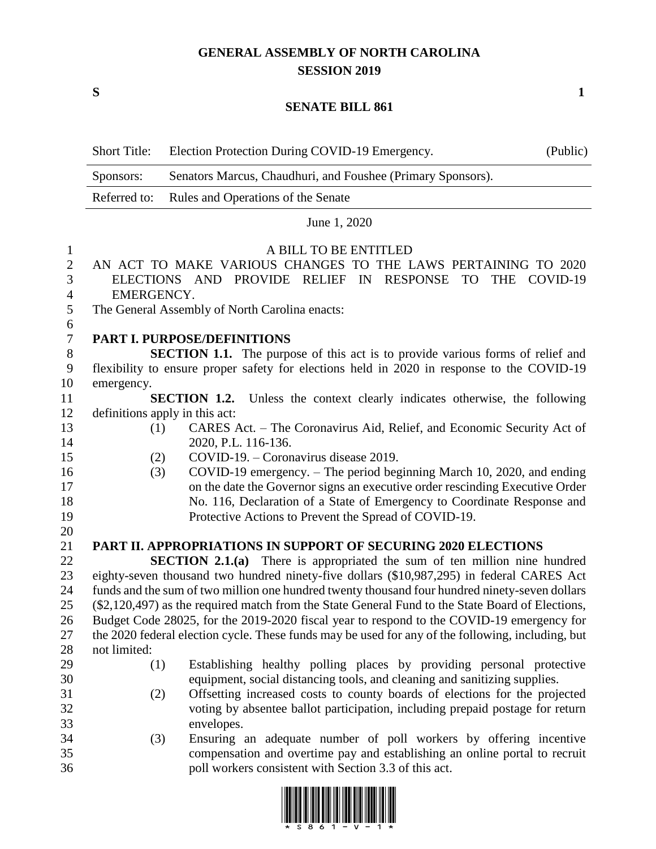## **GENERAL ASSEMBLY OF NORTH CAROLINA SESSION 2019**

**S 1**

#### **SENATE BILL 861**

|                  | <b>Short Title:</b>                                                                       | Election Protection During COVID-19 Emergency.                                                                                                        | (Public) |
|------------------|-------------------------------------------------------------------------------------------|-------------------------------------------------------------------------------------------------------------------------------------------------------|----------|
|                  | Sponsors:                                                                                 | Senators Marcus, Chaudhuri, and Foushee (Primary Sponsors).                                                                                           |          |
|                  | Referred to:                                                                              | Rules and Operations of the Senate                                                                                                                    |          |
|                  |                                                                                           | June 1, 2020                                                                                                                                          |          |
| $\mathbf{1}$     |                                                                                           | A BILL TO BE ENTITLED                                                                                                                                 |          |
| $\overline{2}$   |                                                                                           | AN ACT TO MAKE VARIOUS CHANGES TO THE LAWS PERTAINING TO 2020                                                                                         |          |
| 3                |                                                                                           | PROVIDE RELIEF IN<br>RESPONSE TO<br>THE COVID-19<br>ELECTIONS AND                                                                                     |          |
| 4                | EMERGENCY.                                                                                |                                                                                                                                                       |          |
| 5                | The General Assembly of North Carolina enacts:                                            |                                                                                                                                                       |          |
| 6                |                                                                                           |                                                                                                                                                       |          |
| $\boldsymbol{7}$ |                                                                                           | PART I. PURPOSE/DEFINITIONS                                                                                                                           |          |
| $8\,$            |                                                                                           | <b>SECTION 1.1.</b> The purpose of this act is to provide various forms of relief and                                                                 |          |
| $\boldsymbol{9}$ |                                                                                           | flexibility to ensure proper safety for elections held in 2020 in response to the COVID-19                                                            |          |
| 10               | emergency.                                                                                |                                                                                                                                                       |          |
| 11               |                                                                                           | SECTION 1.2. Unless the context clearly indicates otherwise, the following                                                                            |          |
| 12               |                                                                                           | definitions apply in this act:                                                                                                                        |          |
| 13               | (1)                                                                                       | CARES Act. - The Coronavirus Aid, Relief, and Economic Security Act of                                                                                |          |
| 14               |                                                                                           | 2020, P.L. 116-136.                                                                                                                                   |          |
| 15<br>16         | (2)                                                                                       | COVID-19. – Coronavirus disease 2019.                                                                                                                 |          |
| 17               | (3)                                                                                       | COVID-19 emergency. – The period beginning March 10, 2020, and ending<br>on the date the Governor signs an executive order rescinding Executive Order |          |
| 18               |                                                                                           | No. 116, Declaration of a State of Emergency to Coordinate Response and                                                                               |          |
| 19               |                                                                                           | Protective Actions to Prevent the Spread of COVID-19.                                                                                                 |          |
| 20               |                                                                                           |                                                                                                                                                       |          |
| 21               |                                                                                           | <b>PART II. APPROPRIATIONS IN SUPPORT OF SECURING 2020 ELECTIONS</b>                                                                                  |          |
| 22               |                                                                                           | <b>SECTION 2.1.(a)</b> There is appropriated the sum of ten million nine hundred                                                                      |          |
| 23               |                                                                                           | eighty-seven thousand two hundred ninety-five dollars (\$10,987,295) in federal CARES Act                                                             |          |
| 24               |                                                                                           | funds and the sum of two million one hundred twenty thousand four hundred ninety-seven dollars                                                        |          |
| 25               |                                                                                           | (\$2,120,497) as the required match from the State General Fund to the State Board of Elections,                                                      |          |
| 26               | Budget Code 28025, for the 2019-2020 fiscal year to respond to the COVID-19 emergency for |                                                                                                                                                       |          |
| 27               |                                                                                           | the 2020 federal election cycle. These funds may be used for any of the following, including, but                                                     |          |
| 28               | not limited:                                                                              |                                                                                                                                                       |          |
| 29               | (1)                                                                                       | Establishing healthy polling places by providing personal protective                                                                                  |          |
| 30               |                                                                                           | equipment, social distancing tools, and cleaning and sanitizing supplies.                                                                             |          |
| 31               | (2)                                                                                       | Offsetting increased costs to county boards of elections for the projected                                                                            |          |
| 32<br>33         |                                                                                           | voting by absentee ballot participation, including prepaid postage for return                                                                         |          |
| 34               | (3)                                                                                       | envelopes.<br>Ensuring an adequate number of poll workers by offering incentive                                                                       |          |
| 35               |                                                                                           | compensation and overtime pay and establishing an online portal to recruit                                                                            |          |
| 36               |                                                                                           | poll workers consistent with Section 3.3 of this act.                                                                                                 |          |

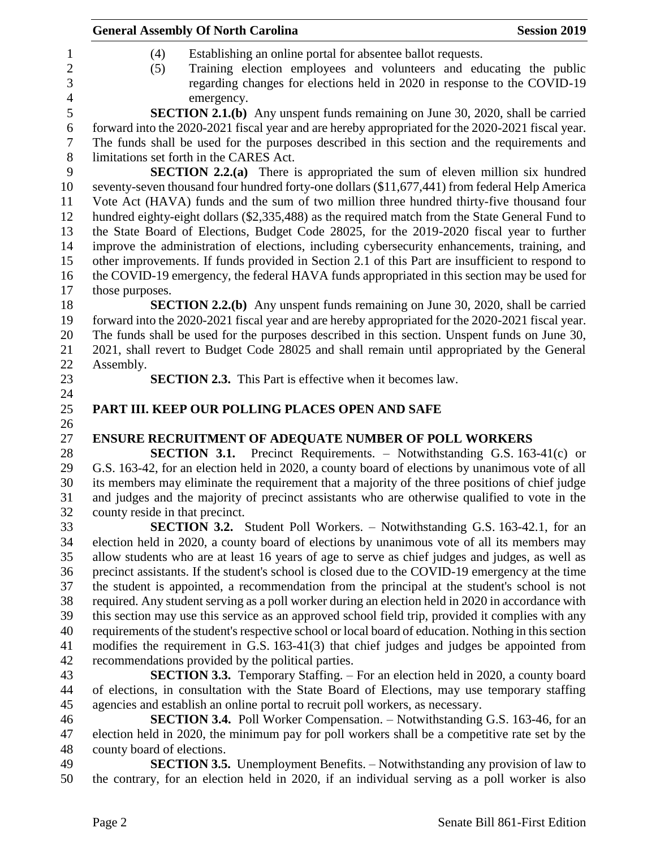|                                 | <b>General Assembly Of North Carolina</b>                                                            | <b>Session 2019</b> |
|---------------------------------|------------------------------------------------------------------------------------------------------|---------------------|
| (4)                             | Establishing an online portal for absentee ballot requests.                                          |                     |
| (5)                             | Training election employees and volunteers and educating the public                                  |                     |
|                                 | regarding changes for elections held in 2020 in response to the COVID-19                             |                     |
|                                 | emergency.                                                                                           |                     |
|                                 | <b>SECTION 2.1.(b)</b> Any unspent funds remaining on June 30, 2020, shall be carried                |                     |
|                                 | forward into the 2020-2021 fiscal year and are hereby appropriated for the 2020-2021 fiscal year.    |                     |
|                                 | The funds shall be used for the purposes described in this section and the requirements and          |                     |
|                                 | limitations set forth in the CARES Act.                                                              |                     |
|                                 |                                                                                                      |                     |
|                                 | <b>SECTION 2.2.(a)</b> There is appropriated the sum of eleven million six hundred                   |                     |
|                                 | seventy-seven thousand four hundred forty-one dollars (\$11,677,441) from federal Help America       |                     |
|                                 | Vote Act (HAVA) funds and the sum of two million three hundred thirty-five thousand four             |                     |
|                                 | hundred eighty-eight dollars (\$2,335,488) as the required match from the State General Fund to      |                     |
|                                 | the State Board of Elections, Budget Code 28025, for the 2019-2020 fiscal year to further            |                     |
|                                 | improve the administration of elections, including cybersecurity enhancements, training, and         |                     |
|                                 | other improvements. If funds provided in Section 2.1 of this Part are insufficient to respond to     |                     |
|                                 | the COVID-19 emergency, the federal HAVA funds appropriated in this section may be used for          |                     |
| those purposes.                 |                                                                                                      |                     |
|                                 | SECTION 2.2.(b) Any unspent funds remaining on June 30, 2020, shall be carried                       |                     |
|                                 | forward into the 2020-2021 fiscal year and are hereby appropriated for the 2020-2021 fiscal year.    |                     |
|                                 | The funds shall be used for the purposes described in this section. Unspent funds on June 30,        |                     |
|                                 | 2021, shall revert to Budget Code 28025 and shall remain until appropriated by the General           |                     |
| Assembly.                       |                                                                                                      |                     |
|                                 | <b>SECTION 2.3.</b> This Part is effective when it becomes law.                                      |                     |
|                                 |                                                                                                      |                     |
|                                 | PART III. KEEP OUR POLLING PLACES OPEN AND SAFE                                                      |                     |
|                                 |                                                                                                      |                     |
|                                 | ENSURE RECRUITMENT OF ADEQUATE NUMBER OF POLL WORKERS                                                |                     |
|                                 | <b>SECTION 3.1.</b> Precinct Requirements. – Notwithstanding G.S. 163-41(c) or                       |                     |
|                                 | G.S. 163-42, for an election held in 2020, a county board of elections by unanimous vote of all      |                     |
|                                 | its members may eliminate the requirement that a majority of the three positions of chief judge      |                     |
|                                 | and judges and the majority of precinct assistants who are otherwise qualified to vote in the        |                     |
| county reside in that precinct. |                                                                                                      |                     |
|                                 | <b>SECTION 3.2.</b> Student Poll Workers. – Notwithstanding G.S. 163-42.1, for an                    |                     |
|                                 | election held in 2020, a county board of elections by unanimous vote of all its members may          |                     |
|                                 | allow students who are at least 16 years of age to serve as chief judges and judges, as well as      |                     |
|                                 | precinct assistants. If the student's school is closed due to the COVID-19 emergency at the time     |                     |
|                                 | the student is appointed, a recommendation from the principal at the student's school is not         |                     |
|                                 | required. Any student serving as a poll worker during an election held in 2020 in accordance with    |                     |
|                                 | this section may use this service as an approved school field trip, provided it complies with any    |                     |
|                                 | requirements of the student's respective school or local board of education. Nothing in this section |                     |
|                                 | modifies the requirement in G.S. 163-41(3) that chief judges and judges be appointed from            |                     |
|                                 | recommendations provided by the political parties.                                                   |                     |
|                                 | <b>SECTION 3.3.</b> Temporary Staffing. – For an election held in 2020, a county board               |                     |
|                                 | of elections, in consultation with the State Board of Elections, may use temporary staffing          |                     |
|                                 | agencies and establish an online portal to recruit poll workers, as necessary.                       |                     |
|                                 | <b>SECTION 3.4.</b> Poll Worker Compensation. – Notwithstanding G.S. 163-46, for an                  |                     |
|                                 | election held in 2020, the minimum pay for poll workers shall be a competitive rate set by the       |                     |
| county board of elections.      |                                                                                                      |                     |
|                                 | <b>SECTION 3.5.</b> Unemployment Benefits. – Notwithstanding any provision of law to                 |                     |
|                                 | the contrary, for an election held in 2020, if an individual serving as a poll worker is also        |                     |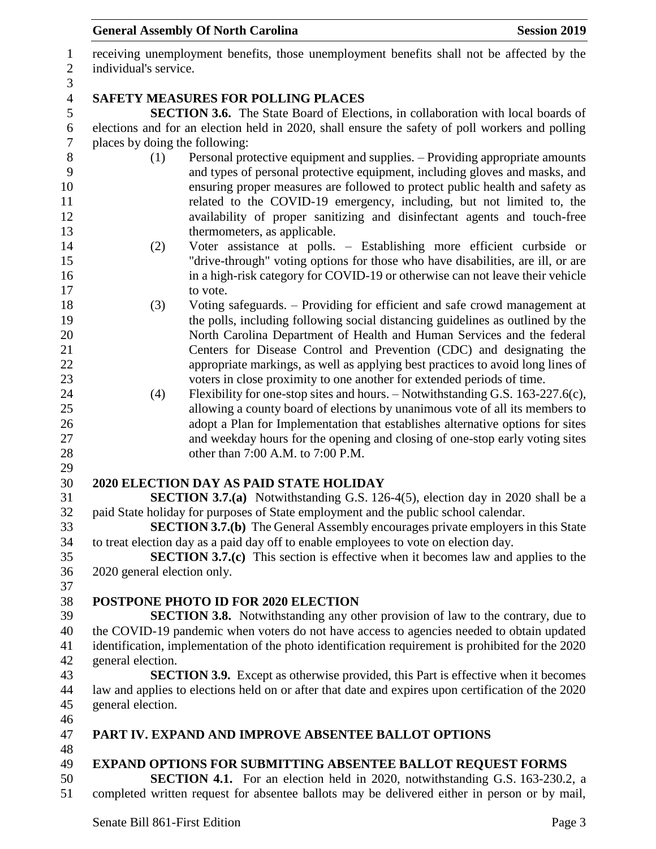receiving unemployment benefits, those unemployment benefits shall not be affected by the individual's service. **SAFETY MEASURES FOR POLLING PLACES SECTION 3.6.** The State Board of Elections, in collaboration with local boards of elections and for an election held in 2020, shall ensure the safety of poll workers and polling places by doing the following: (1) Personal protective equipment and supplies. – Providing appropriate amounts and types of personal protective equipment, including gloves and masks, and ensuring proper measures are followed to protect public health and safety as related to the COVID-19 emergency, including, but not limited to, the availability of proper sanitizing and disinfectant agents and touch-free 13 thermometers, as applicable. (2) Voter assistance at polls. – Establishing more efficient curbside or "drive-through" voting options for those who have disabilities, are ill, or are in a high-risk category for COVID-19 or otherwise can not leave their vehicle 17 to vote. (3) Voting safeguards. – Providing for efficient and safe crowd management at the polls, including following social distancing guidelines as outlined by the North Carolina Department of Health and Human Services and the federal Centers for Disease Control and Prevention (CDC) and designating the appropriate markings, as well as applying best practices to avoid long lines of voters in close proximity to one another for extended periods of time. (4) Flexibility for one-stop sites and hours. – Notwithstanding G.S. 163-227.6(c), allowing a county board of elections by unanimous vote of all its members to 26 adopt a Plan for Implementation that establishes alternative options for sites and weekday hours for the opening and closing of one-stop early voting sites 28 other than 7:00 A.M. to 7:00 P.M. **2020 ELECTION DAY AS PAID STATE HOLIDAY SECTION 3.7.(a)** Notwithstanding G.S. 126-4(5), election day in 2020 shall be a paid State holiday for purposes of State employment and the public school calendar. **SECTION 3.7.(b)** The General Assembly encourages private employers in this State to treat election day as a paid day off to enable employees to vote on election day. **SECTION 3.7.(c)** This section is effective when it becomes law and applies to the 2020 general election only. **POSTPONE PHOTO ID FOR 2020 ELECTION SECTION 3.8.** Notwithstanding any other provision of law to the contrary, due to the COVID-19 pandemic when voters do not have access to agencies needed to obtain updated identification, implementation of the photo identification requirement is prohibited for the 2020 general election. **SECTION 3.9.** Except as otherwise provided, this Part is effective when it becomes law and applies to elections held on or after that date and expires upon certification of the 2020 general election. **PART IV. EXPAND AND IMPROVE ABSENTEE BALLOT OPTIONS EXPAND OPTIONS FOR SUBMITTING ABSENTEE BALLOT REQUEST FORMS SECTION 4.1.** For an election held in 2020, notwithstanding G.S. 163-230.2, a completed written request for absentee ballots may be delivered either in person or by mail,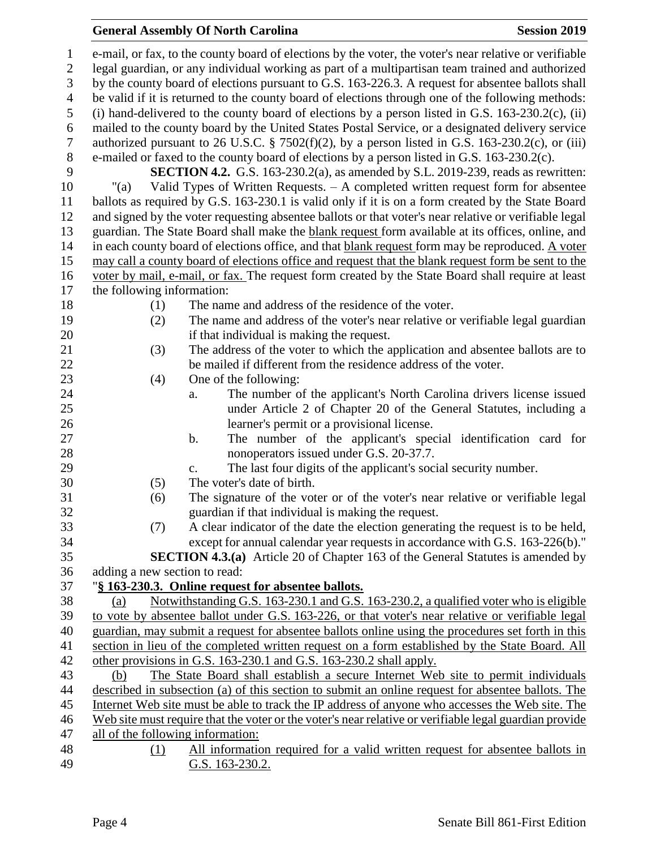# **General Assembly Of North Carolina Session 2019**

| 1              | e-mail, or fax, to the county board of elections by the voter, the voter's near relative or verifiable            |
|----------------|-------------------------------------------------------------------------------------------------------------------|
| $\overline{2}$ | legal guardian, or any individual working as part of a multipartisan team trained and authorized                  |
| 3              | by the county board of elections pursuant to G.S. 163-226.3. A request for absentee ballots shall                 |
| $\overline{4}$ | be valid if it is returned to the county board of elections through one of the following methods:                 |
| 5              | (i) hand-delivered to the county board of elections by a person listed in G.S. $163-230.2(c)$ , (ii)              |
| 6              | mailed to the county board by the United States Postal Service, or a designated delivery service                  |
| $\overline{7}$ | authorized pursuant to 26 U.S.C. § 7502(f)(2), by a person listed in G.S. 163-230.2(c), or (iii)                  |
| $8\,$          | e-mailed or faxed to the county board of elections by a person listed in G.S. 163-230.2(c).                       |
| 9              | <b>SECTION 4.2.</b> G.S. 163-230.2(a), as amended by S.L. 2019-239, reads as rewritten:                           |
| 10             | Valid Types of Written Requests. $-$ A completed written request form for absentee<br>"(a)                        |
| 11             | ballots as required by G.S. 163-230.1 is valid only if it is on a form created by the State Board                 |
| 12             | and signed by the voter requesting absentee ballots or that voter's near relative or verifiable legal             |
| 13             | guardian. The State Board shall make the blank request form available at its offices, online, and                 |
| 14             | in each county board of elections office, and that blank request form may be reproduced. A voter                  |
| 15             | may call a county board of elections office and request that the blank request form be sent to the                |
| 16             | voter by mail, e-mail, or fax. The request form created by the State Board shall require at least                 |
| 17             | the following information:                                                                                        |
| 18             | The name and address of the residence of the voter.<br>(1)                                                        |
| 19             | The name and address of the voter's near relative or verifiable legal guardian<br>(2)                             |
| 20             | if that individual is making the request.                                                                         |
| 21             | The address of the voter to which the application and absentee ballots are to<br>(3)                              |
| 22             | be mailed if different from the residence address of the voter.                                                   |
| 23             | (4)<br>One of the following:                                                                                      |
| 24             | The number of the applicant's North Carolina drivers license issued<br>a.                                         |
| 25<br>26       | under Article 2 of Chapter 20 of the General Statutes, including a                                                |
| 27             | learner's permit or a provisional license.<br>The number of the applicant's special identification card for<br>b. |
| 28             | nonoperators issued under G.S. 20-37.7.                                                                           |
| 29             | The last four digits of the applicant's social security number.<br>c.                                             |
| 30             | The voter's date of birth.<br>(5)                                                                                 |
| 31             | The signature of the voter or of the voter's near relative or verifiable legal<br>(6)                             |
| 32             | guardian if that individual is making the request.                                                                |
| 33             | A clear indicator of the date the election generating the request is to be held,<br>(7)                           |
| 34             | except for annual calendar year requests in accordance with G.S. 163-226(b)."                                     |
| 35             | SECTION 4.3.(a) Article 20 of Chapter 163 of the General Statutes is amended by                                   |
| 36             | adding a new section to read:                                                                                     |
| 37             | "§ 163-230.3. Online request for absentee ballots.                                                                |
| 38             | Notwithstanding G.S. 163-230.1 and G.S. 163-230.2, a qualified voter who is eligible<br>(a)                       |
| 39             | to vote by absentee ballot under G.S. 163-226, or that voter's near relative or verifiable legal                  |
| 40             | guardian, may submit a request for absentee ballots online using the procedures set forth in this                 |
| 41             | section in lieu of the completed written request on a form established by the State Board. All                    |
| 42             | other provisions in G.S. 163-230.1 and G.S. 163-230.2 shall apply.                                                |
| 43             | The State Board shall establish a secure Internet Web site to permit individuals<br>(b)                           |
| 44             | described in subsection (a) of this section to submit an online request for absentee ballots. The                 |
| 45             | Internet Web site must be able to track the IP address of anyone who accesses the Web site. The                   |
| 46             | Web site must require that the voter or the voter's near relative or verifiable legal guardian provide            |
| 47             | all of the following information:                                                                                 |
| 48             | All information required for a valid written request for absentee ballots in<br>(1)                               |
| 49             | G.S. 163-230.2.                                                                                                   |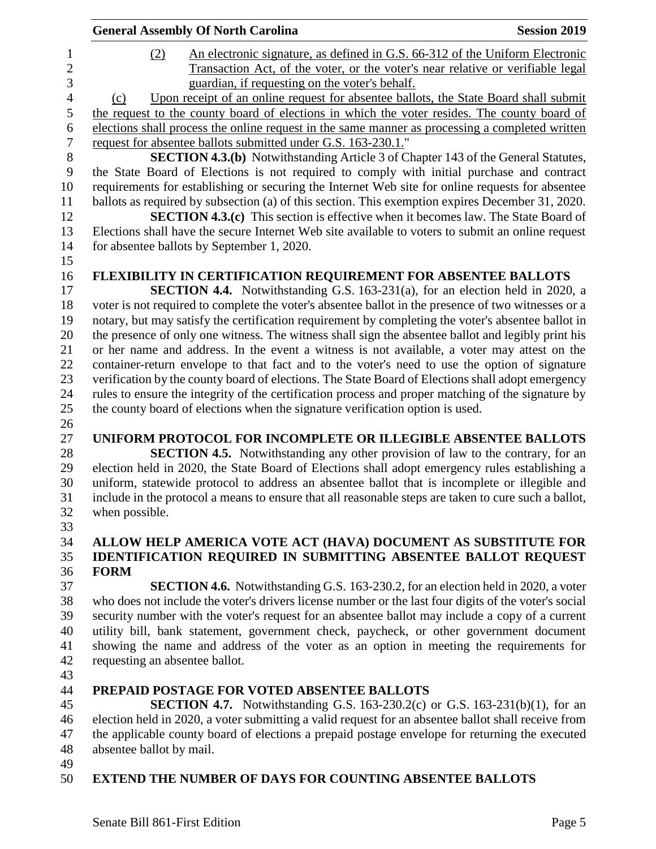| <b>General Assembly Of North Carolina</b><br><b>Session 2019</b>                                     |
|------------------------------------------------------------------------------------------------------|
| An electronic signature, as defined in G.S. 66-312 of the Uniform Electronic<br>(2)                  |
| Transaction Act, of the voter, or the voter's near relative or verifiable legal                      |
| guardian, if requesting on the voter's behalf.                                                       |
| Upon receipt of an online request for absentee ballots, the State Board shall submit<br>(c)          |
| the request to the county board of elections in which the voter resides. The county board of         |
| elections shall process the online request in the same manner as processing a completed written      |
| request for absentee ballots submitted under G.S. 163-230.1."                                        |
| <b>SECTION 4.3.(b)</b> Notwithstanding Article 3 of Chapter 143 of the General Statutes,             |
| the State Board of Elections is not required to comply with initial purchase and contract            |
| requirements for establishing or securing the Internet Web site for online requests for absentee     |
| ballots as required by subsection (a) of this section. This exemption expires December 31, 2020.     |
| <b>SECTION 4.3.(c)</b> This section is effective when it becomes law. The State Board of             |
| Elections shall have the secure Internet Web site available to voters to submit an online request    |
| for absentee ballots by September 1, 2020.                                                           |
|                                                                                                      |
| FLEXIBILITY IN CERTIFICATION REQUIREMENT FOR ABSENTEE BALLOTS                                        |
| <b>SECTION 4.4.</b> Notwithstanding G.S. 163-231(a), for an election held in 2020, a                 |
| voter is not required to complete the voter's absentee ballot in the presence of two witnesses or a  |
| notary, but may satisfy the certification requirement by completing the voter's absentee ballot in   |
| the presence of only one witness. The witness shall sign the absentee ballot and legibly print his   |
| or her name and address. In the event a witness is not available, a voter may attest on the          |
| container-return envelope to that fact and to the voter's need to use the option of signature        |
| verification by the county board of elections. The State Board of Elections shall adopt emergency    |
| rules to ensure the integrity of the certification process and proper matching of the signature by   |
| the county board of elections when the signature verification option is used.                        |
|                                                                                                      |
| UNIFORM PROTOCOL FOR INCOMPLETE OR ILLEGIBLE ABSENTEE BALLOTS                                        |
| <b>SECTION 4.5.</b> Notwithstanding any other provision of law to the contrary, for an               |
| election held in 2020, the State Board of Elections shall adopt emergency rules establishing a       |
| uniform, statewide protocol to address an absentee ballot that is incomplete or illegible and        |
| include in the protocol a means to ensure that all reasonable steps are taken to cure such a ballot, |
| when possible.                                                                                       |
|                                                                                                      |
| ALLOW HELP AMERICA VOTE ACT (HAVA) DOCUMENT AS SUBSTITUTE FOR                                        |
| <b>IDENTIFICATION REQUIRED IN SUBMITTING ABSENTEE BALLOT REQUEST</b>                                 |
| <b>FORM</b>                                                                                          |

 **SECTION 4.6.** Notwithstanding G.S. 163-230.2, for an election held in 2020, a voter who does not include the voter's drivers license number or the last four digits of the voter's social security number with the voter's request for an absentee ballot may include a copy of a current utility bill, bank statement, government check, paycheck, or other government document showing the name and address of the voter as an option in meeting the requirements for requesting an absentee ballot.

## **PREPAID POSTAGE FOR VOTED ABSENTEE BALLOTS**

 **SECTION 4.7.** Notwithstanding G.S. 163-230.2(c) or G.S. 163-231(b)(1), for an election held in 2020, a voter submitting a valid request for an absentee ballot shall receive from the applicable county board of elections a prepaid postage envelope for returning the executed absentee ballot by mail.

## **EXTEND THE NUMBER OF DAYS FOR COUNTING ABSENTEE BALLOTS**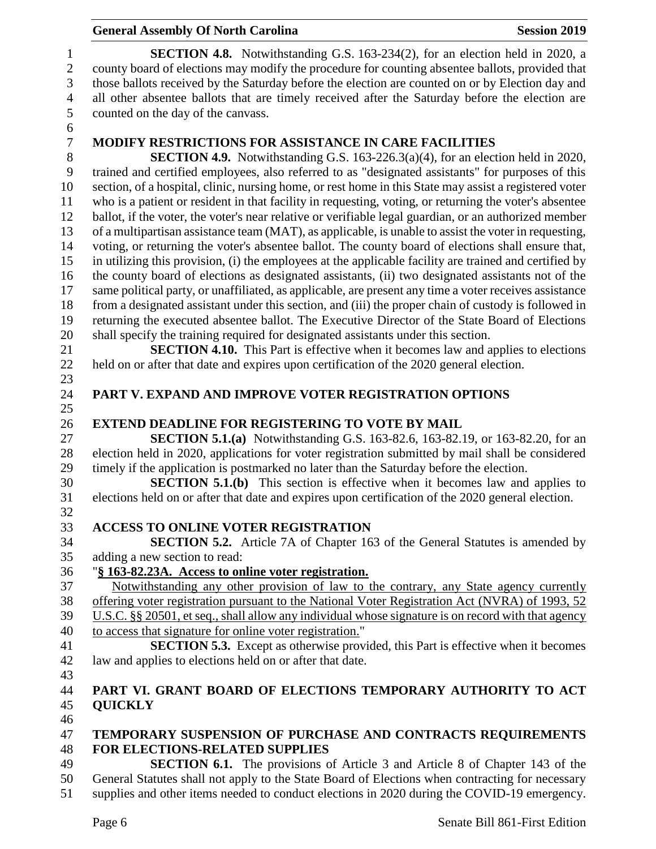#### **General Assembly Of North Carolina Session 2019 Session 2019 SECTION 4.8.** Notwithstanding G.S. 163-234(2), for an election held in 2020, a county board of elections may modify the procedure for counting absentee ballots, provided that those ballots received by the Saturday before the election are counted on or by Election day and all other absentee ballots that are timely received after the Saturday before the election are counted on the day of the canvass. **MODIFY RESTRICTIONS FOR ASSISTANCE IN CARE FACILITIES** 8 **SECTION 4.9.** Notwithstanding G.S. 163-226.3(a)(4), for an election held in 2020, trained and certified employees, also referred to as "designated assistants" for purposes of this trained and certified employees, also referred to as "designated assistants" for purposes of this section, of a hospital, clinic, nursing home, or rest home in this State may assist a registered voter who is a patient or resident in that facility in requesting, voting, or returning the voter's absentee ballot, if the voter, the voter's near relative or verifiable legal guardian, or an authorized member of a multipartisan assistance team (MAT), as applicable, is unable to assist the voter in requesting, voting, or returning the voter's absentee ballot. The county board of elections shall ensure that, in utilizing this provision, (i) the employees at the applicable facility are trained and certified by the county board of elections as designated assistants, (ii) two designated assistants not of the same political party, or unaffiliated, as applicable, are present any time a voter receives assistance from a designated assistant under this section, and (iii) the proper chain of custody is followed in returning the executed absentee ballot. The Executive Director of the State Board of Elections shall specify the training required for designated assistants under this section. **SECTION 4.10.** This Part is effective when it becomes law and applies to elections held on or after that date and expires upon certification of the 2020 general election. **PART V. EXPAND AND IMPROVE VOTER REGISTRATION OPTIONS EXTEND DEADLINE FOR REGISTERING TO VOTE BY MAIL SECTION 5.1.(a)** Notwithstanding G.S. 163-82.6, 163-82.19, or 163-82.20, for an election held in 2020, applications for voter registration submitted by mail shall be considered timely if the application is postmarked no later than the Saturday before the election. **SECTION 5.1.(b)** This section is effective when it becomes law and applies to elections held on or after that date and expires upon certification of the 2020 general election. **ACCESS TO ONLINE VOTER REGISTRATION SECTION 5.2.** Article 7A of Chapter 163 of the General Statutes is amended by adding a new section to read: "**§ 163-82.23A. Access to online voter registration.** Notwithstanding any other provision of law to the contrary, any State agency currently offering voter registration pursuant to the National Voter Registration Act (NVRA) of 1993, 52 U.S.C. §§ 20501, et seq., shall allow any individual whose signature is on record with that agency to access that signature for online voter registration." **SECTION 5.3.** Except as otherwise provided, this Part is effective when it becomes law and applies to elections held on or after that date. **PART VI. GRANT BOARD OF ELECTIONS TEMPORARY AUTHORITY TO ACT QUICKLY TEMPORARY SUSPENSION OF PURCHASE AND CONTRACTS REQUIREMENTS FOR ELECTIONS-RELATED SUPPLIES SECTION 6.1.** The provisions of Article 3 and Article 8 of Chapter 143 of the General Statutes shall not apply to the State Board of Elections when contracting for necessary

supplies and other items needed to conduct elections in 2020 during the COVID-19 emergency.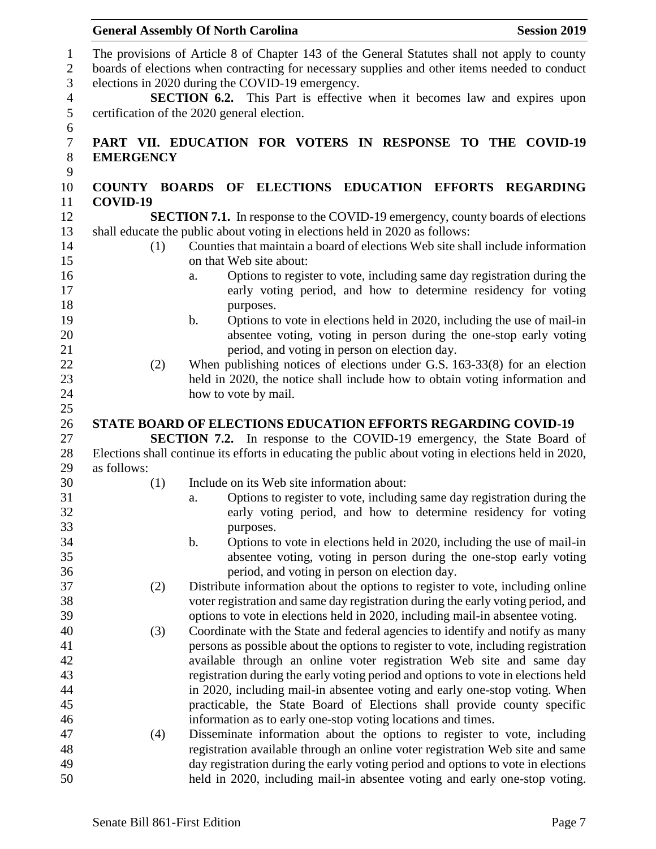|                  | <b>General Assembly Of North Carolina</b>                                                                                                                                                                                                                                                                                     | <b>Session 2019</b> |
|------------------|-------------------------------------------------------------------------------------------------------------------------------------------------------------------------------------------------------------------------------------------------------------------------------------------------------------------------------|---------------------|
|                  | The provisions of Article 8 of Chapter 143 of the General Statutes shall not apply to county<br>boards of elections when contracting for necessary supplies and other items needed to conduct<br>elections in 2020 during the COVID-19 emergency.<br>SECTION 6.2. This Part is effective when it becomes law and expires upon |                     |
|                  | certification of the 2020 general election.                                                                                                                                                                                                                                                                                   |                     |
| <b>EMERGENCY</b> | PART VII. EDUCATION FOR VOTERS IN RESPONSE TO THE COVID-19                                                                                                                                                                                                                                                                    |                     |
|                  | COUNTY BOARDS OF ELECTIONS EDUCATION EFFORTS REGARDING                                                                                                                                                                                                                                                                        |                     |
| COVID-19         |                                                                                                                                                                                                                                                                                                                               |                     |
|                  | <b>SECTION 7.1.</b> In response to the COVID-19 emergency, county boards of elections                                                                                                                                                                                                                                         |                     |
|                  | shall educate the public about voting in elections held in 2020 as follows:                                                                                                                                                                                                                                                   |                     |
| (1)              | Counties that maintain a board of elections Web site shall include information                                                                                                                                                                                                                                                |                     |
|                  | on that Web site about:                                                                                                                                                                                                                                                                                                       |                     |
|                  | Options to register to vote, including same day registration during the<br>a.                                                                                                                                                                                                                                                 |                     |
|                  | early voting period, and how to determine residency for voting                                                                                                                                                                                                                                                                |                     |
|                  | purposes.<br>Options to vote in elections held in 2020, including the use of mail-in<br>b.                                                                                                                                                                                                                                    |                     |
|                  | absentee voting, voting in person during the one-stop early voting                                                                                                                                                                                                                                                            |                     |
|                  | period, and voting in person on election day.                                                                                                                                                                                                                                                                                 |                     |
| (2)              | When publishing notices of elections under G.S. $163-33(8)$ for an election                                                                                                                                                                                                                                                   |                     |
|                  | held in 2020, the notice shall include how to obtain voting information and                                                                                                                                                                                                                                                   |                     |
|                  | how to vote by mail.                                                                                                                                                                                                                                                                                                          |                     |
|                  |                                                                                                                                                                                                                                                                                                                               |                     |
|                  | <b>STATE BOARD OF ELECTIONS EDUCATION EFFORTS REGARDING COVID-19</b>                                                                                                                                                                                                                                                          |                     |
|                  | <b>SECTION 7.2.</b> In response to the COVID-19 emergency, the State Board of                                                                                                                                                                                                                                                 |                     |
|                  | Elections shall continue its efforts in educating the public about voting in elections held in 2020,                                                                                                                                                                                                                          |                     |
| as follows:      |                                                                                                                                                                                                                                                                                                                               |                     |
| (1)              | Include on its Web site information about:                                                                                                                                                                                                                                                                                    |                     |
|                  | Options to register to vote, including same day registration during the<br>a.<br>early voting period, and how to determine residency for voting                                                                                                                                                                               |                     |
|                  | purposes.                                                                                                                                                                                                                                                                                                                     |                     |
|                  | Options to vote in elections held in 2020, including the use of mail-in<br>b.                                                                                                                                                                                                                                                 |                     |
|                  | absentee voting, voting in person during the one-stop early voting                                                                                                                                                                                                                                                            |                     |
|                  | period, and voting in person on election day.                                                                                                                                                                                                                                                                                 |                     |
| (2)              | Distribute information about the options to register to vote, including online                                                                                                                                                                                                                                                |                     |
|                  | voter registration and same day registration during the early voting period, and                                                                                                                                                                                                                                              |                     |
|                  | options to vote in elections held in 2020, including mail-in absentee voting.                                                                                                                                                                                                                                                 |                     |
| (3)              | Coordinate with the State and federal agencies to identify and notify as many                                                                                                                                                                                                                                                 |                     |
|                  | persons as possible about the options to register to vote, including registration                                                                                                                                                                                                                                             |                     |
|                  | available through an online voter registration Web site and same day                                                                                                                                                                                                                                                          |                     |
|                  | registration during the early voting period and options to vote in elections held                                                                                                                                                                                                                                             |                     |
|                  | in 2020, including mail-in absentee voting and early one-stop voting. When                                                                                                                                                                                                                                                    |                     |
|                  | practicable, the State Board of Elections shall provide county specific                                                                                                                                                                                                                                                       |                     |
|                  | information as to early one-stop voting locations and times.                                                                                                                                                                                                                                                                  |                     |
| (4)              | Disseminate information about the options to register to vote, including<br>registration available through an online voter registration Web site and same                                                                                                                                                                     |                     |
|                  | day registration during the early voting period and options to vote in elections                                                                                                                                                                                                                                              |                     |
|                  | held in 2020, including mail-in absentee voting and early one-stop voting.                                                                                                                                                                                                                                                    |                     |
|                  |                                                                                                                                                                                                                                                                                                                               |                     |